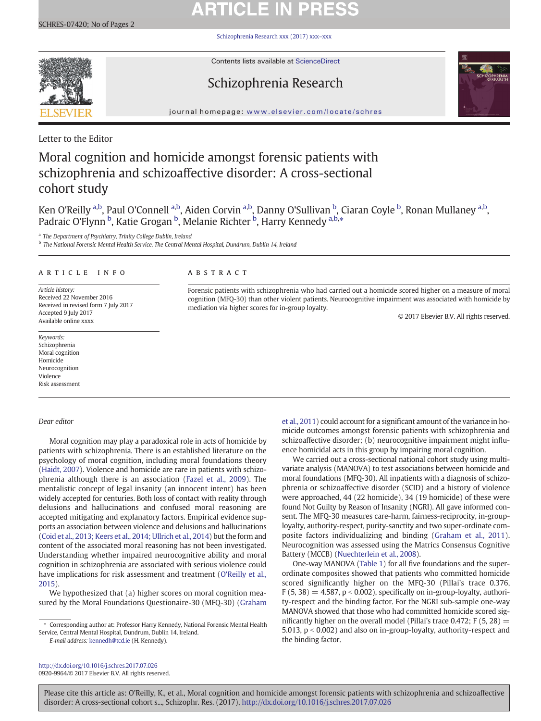# **ARTICLE IN PRESS**

[Schizophrenia Research xxx \(2017\) xxx](http://dx.doi.org/10.1016/j.schres.2017.07.026)–xxx



Contents lists available at ScienceDirect

# Schizophrenia Research



journal homepage: <www.elsevier.com/locate/schres>

Letter to the Editor

# Moral cognition and homicide amongst forensic patients with schizophrenia and schizoaffective disorder: A cross-sectional cohort study

Ken O'Reilly <sup>a,b</sup>, Paul O'Connell <sup>a,b</sup>, Aiden Corvin <sup>a,b</sup>, Danny O'Sullivan <sup>b</sup>, Ciaran Coyle <sup>b</sup>, Ronan Mullaney <sup>a,b</sup>, Padraic O'Flynn <sup>b</sup>, Katie Grogan <sup>b</sup>, Melanie Richter <sup>b</sup>, Harry Kennedy <sup>a,b,</sup>\*

<sup>a</sup> The Department of Psychiatry, Trinity College Dublin, Ireland

<sup>b</sup> The National Forensic Mental Health Service, The Central Mental Hospital, Dundrum, Dublin 14, Ireland

# article info abstract

Article history: Received 22 November 2016 Received in revised form 7 July 2017 Accepted 9 July 2017 Available online xxxx

Keywords: Schizophrenia Moral cognition Homicide Neurocognition Violence Risk assessment

# Dear editor

Moral cognition may play a paradoxical role in acts of homicide by patients with schizophrenia. There is an established literature on the psychology of moral cognition, including moral foundations theory [\(Haidt, 2007\)](#page-1-0). Violence and homicide are rare in patients with schizophrenia although there is an association [\(Fazel et al., 2009\)](#page-1-0). The mentalistic concept of legal insanity (an innocent intent) has been widely accepted for centuries. Both loss of contact with reality through delusions and hallucinations and confused moral reasoning are accepted mitigating and explanatory factors. Empirical evidence supports an association between violence and delusions and hallucinations [\(Coid et al., 2013; Keers et al., 2014; Ullrich et al., 2014](#page-1-0)) but the form and content of the associated moral reasoning has not been investigated. Understanding whether impaired neurocognitive ability and moral cognition in schizophrenia are associated with serious violence could have implications for risk assessment and treatment ([O'Reilly et al.,](#page-1-0) [2015](#page-1-0)).

We hypothesized that (a) higher scores on moral cognition measured by the Moral Foundations Questionaire-30 (MFQ-30) ([Graham](#page-1-0)

E-mail address: [kennedh@tcd.ie](mailto:kennedh@tcd.ie) (H. Kennedy).

<http://dx.doi.org/10.1016/j.schres.2017.07.026> 0920-9964/© 2017 Elsevier B.V. All rights reserved.

Forensic patients with schizophrenia who had carried out a homicide scored higher on a measure of moral cognition (MFQ-30) than other violent patients. Neurocognitive impairment was associated with homicide by mediation via higher scores for in-group loyalty.

© 2017 Elsevier B.V. All rights reserved.

[et al., 2011\)](#page-1-0) could account for a significant amount of the variance in homicide outcomes amongst forensic patients with schizophrenia and schizoaffective disorder; (b) neurocognitive impairment might influence homicidal acts in this group by impairing moral cognition.

We carried out a cross-sectional national cohort study using multivariate analysis (MANOVA) to test associations between homicide and moral foundations (MFQ-30). All inpatients with a diagnosis of schizophrenia or schizoaffective disorder (SCID) and a history of violence were approached, 44 (22 homicide), 34 (19 homicide) of these were found Not Guilty by Reason of Insanity (NGRI). All gave informed consent. The MFQ-30 measures care-harm, fairness-reciprocity, in-grouployalty, authority-respect, purity-sanctity and two super-ordinate composite factors individualizing and binding ([Graham et al., 2011](#page-1-0)). Neurocognition was assessed using the Matrics Consensus Cognitive Battery (MCCB) ([Nuechterlein et al., 2008](#page-1-0)).

One-way MANOVA [\(Table 1\)](#page-1-0) for all five foundations and the superordinate composites showed that patients who committed homicide scored significantly higher on the MFQ-30 (Pillai's trace 0.376,  $F(5, 38) = 4.587$ ,  $p < 0.002$ ), specifically on in-group-loyalty, authority-respect and the binding factor. For the NGRI sub-sample one-way MANOVA showed that those who had committed homicide scored significantly higher on the overall model (Pillai's trace 0.472; F  $(5, 28)$  = 5.013,  $p < 0.002$ ) and also on in-group-loyalty, authority-respect and the binding factor.

Please cite this article as: O'Reilly, K., et al., Moral cognition and homicide amongst forensic patients with schizophrenia and schizoaffective disorder: A cross-sectional cohort s..., Schizophr. Res. (2017), <http://dx.doi.org/10.1016/j.schres.2017.07.026>

<sup>⁎</sup> Corresponding author at: Professor Harry Kennedy, National Forensic Mental Health Service, Central Mental Hospital, Dundrum, Dublin 14, Ireland.